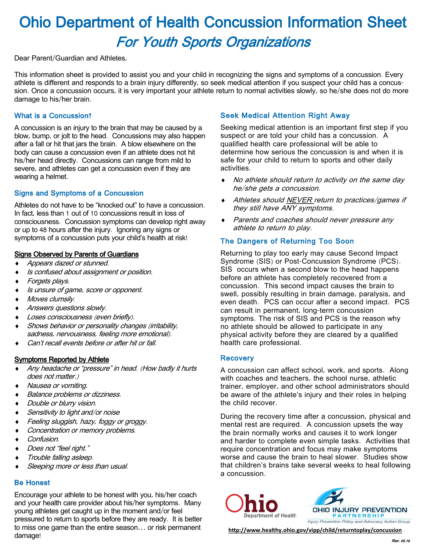# Ohio Department of Health Concussion Information Sheet For Youth Sports Organizations

Dear Parent/Guardian and Athletes,

This information sheet is provided to assist you and your child in recognizing the signs and symptoms of a concussion. Every athlete is different and responds to a brain injury differently, so seek medical attention if you suspect your child has a concussion. Once a concussion occurs, it is very important your athlete return to normal activities slowly, so he/she does not do more damage to his/her brain.

### What is a Concussion?

A concussion is an injury to the brain that may be caused by a blow, bump, or jolt to the head. Concussions may also happen after a fall or hit that jars the brain. A blow elsewhere on the body can cause a concussion even if an athlete does not hit his/her head directly. Concussions can range from mild to severe, and athletes can get a concussion even if they are wearing a helmet.

#### Signs and Symptoms of a Concussion

Athletes do not have to be "knocked out" to have a concussion. In fact, less than 1 out of 10 concussions result in loss of consciousness. Concussion symptoms can develop right away or up to 48 hours after the injury. Ignoring any signs or symptoms of a concussion puts your child's health at risk!

#### Signs Observed by Parents of Guardians

- Appears dazed or stunned.
- Is confused about assignment or position.
- Forgets plays.
- Is unsure of game, score or opponent.
- Moves clumsily.
- Answers questions slowly.
- Loses consciousness (even briefly).
- Shows behavior or personality changes (irritability, sadness, nervousness, feeling more emotional).
- Can't recall events before or after hit or fall.

#### Symptoms Reported by Athlete

- Any headache or "pressure" in head. (How badly it hurts does not matter.)
- Nausea or vomiting.
- Balance problems or dizziness.
- Double or blurry vision.
- Sensitivity to light and/or noise
- Feeling sluggish, hazy, foggy or groggy.
- Concentration or memory problems.
- Confusion.
- Does not "feel right."
- Trouble falling asleep.
- Sleeping more or less than usual.

## Be Honest

Encourage your athlete to be honest with you, his/her coach and your health care provider about his/her symptoms. Many young athletes get caught up in the moment and/or feel pressured to return to sports before they are ready. It is better to miss one game than the entire season… or risk permanent damage!

# Seek Medical Attention Right Away

Seeking medical attention is an important first step if you suspect or are told your child has a concussion. A qualified health care professional will be able to determine how serious the concussion is and when it is safe for your child to return to sports and other daily activities.

- No athlete should return to activity on the same day he/she gets a concussion.
- Athletes should <u>NEVER r</u>eturn to practices/games if they still have ANY symptoms.
- ◆ Parents and coaches should never pressure any athlete to return to play.

## The Dangers of Returning Too Soon

Returning to play too early may cause Second Impact Syndrome (SIS) or Post-Concussion Syndrome (PCS). SIS occurs when a second blow to the head happens before an athlete has completely recovered from a concussion. This second impact causes the brain to swell, possibly resulting in brain damage, paralysis, and even death. PCS can occur after a second impact. PCS can result in permanent, long-term concussion symptoms. The risk of SIS and PCS is the reason why no athlete should be allowed to participate in any physical activity before they are cleared by a qualified health care professional.

#### **Recovery**

A concussion can affect school, work, and sports. Along with coaches and teachers, the school nurse, athletic trainer, employer, and other school administrators should be aware of the athlete's injury and their roles in helping the child recover.

During the recovery time after a concussion, physical and mental rest are required. A concussion upsets the way the brain normally works and causes it to work longer and harder to complete even simple tasks. Activities that require concentration and focus may make symptoms worse and cause the brain to heal slower. Studies show that children's brains take several weeks to heal following a concussion.





**http://www.healthy.ohio.gov/vipp/child/returntoplay/concussion**